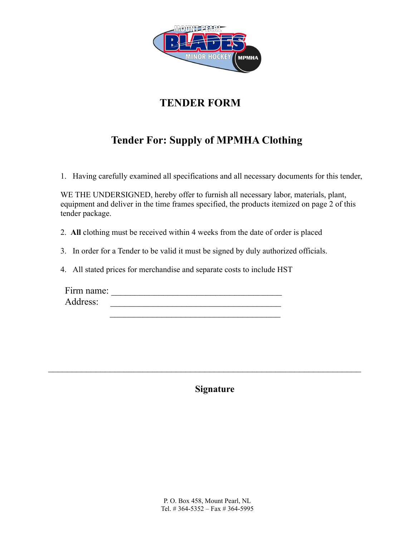

## **TENDER FORM**

# **Tender For: Supply of MPMHA Clothing**

1. Having carefully examined all specifications and all necessary documents for this tender,

WE THE UNDERSIGNED, hereby offer to furnish all necessary labor, materials, plant, equipment and deliver in the time frames specified, the products itemized on page 2 of this tender package.

2. **All** clothing must be received within 4 weeks from the date of order is placed

3. In order for a Tender to be valid it must be signed by duly authorized officials.

4. All stated prices for merchandise and separate costs to include HST

Firm name: \_\_\_\_\_\_\_\_\_\_\_\_\_\_\_\_\_\_\_\_\_\_\_\_\_\_\_\_\_\_\_\_\_\_\_\_ Address: \_\_\_\_\_\_\_\_\_\_\_\_\_\_\_\_\_\_\_\_\_\_\_\_\_\_\_\_\_\_\_\_\_\_\_\_

**Signature**

 $\mathcal{L}_\text{max}$  , and the contract of the contract of the contract of the contract of the contract of the contract of the contract of the contract of the contract of the contract of the contract of the contract of the contr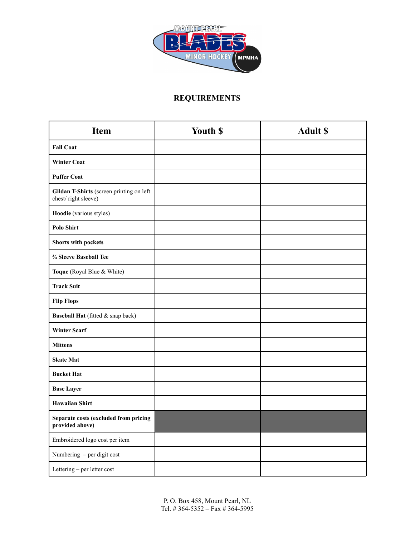

## **REQUIREMENTS**

| <b>Item</b>                                                     | Youth \$ | <b>Adult \$</b> |
|-----------------------------------------------------------------|----------|-----------------|
| <b>Fall Coat</b>                                                |          |                 |
| <b>Winter Coat</b>                                              |          |                 |
| <b>Puffer Coat</b>                                              |          |                 |
| Gildan T-Shirts (screen printing on left<br>chest/right sleeve) |          |                 |
| Hoodie (various styles)                                         |          |                 |
| <b>Polo Shirt</b>                                               |          |                 |
| <b>Shorts with pockets</b>                                      |          |                 |
| 3/4 Sleeve Baseball Tee                                         |          |                 |
| Toque (Royal Blue & White)                                      |          |                 |
| <b>Track Suit</b>                                               |          |                 |
| <b>Flip Flops</b>                                               |          |                 |
| Baseball Hat (fitted & snap back)                               |          |                 |
| <b>Winter Scarf</b>                                             |          |                 |
| <b>Mittens</b>                                                  |          |                 |
| <b>Skate Mat</b>                                                |          |                 |
| <b>Bucket Hat</b>                                               |          |                 |
| <b>Base Layer</b>                                               |          |                 |
| <b>Hawaiian Shirt</b>                                           |          |                 |
| Separate costs (excluded from pricing<br>provided above)        |          |                 |
| Embroidered logo cost per item                                  |          |                 |
| Numbering - per digit cost                                      |          |                 |
| Lettering - per letter cost                                     |          |                 |